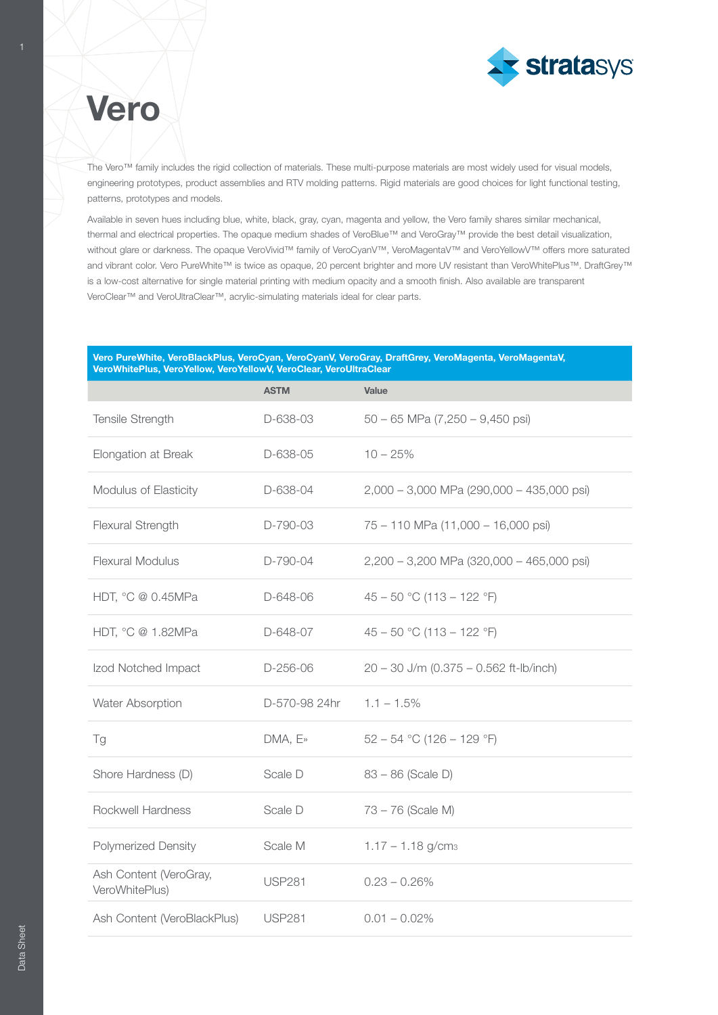

# **Vero**

The Vero™ family includes the rigid collection of materials. These multi-purpose materials are most widely used for visual models, engineering prototypes, product assemblies and RTV molding patterns. Rigid materials are good choices for light functional testing, patterns, prototypes and models.

Available in seven hues including blue, white, black, gray, cyan, magenta and yellow, the Vero family shares similar mechanical, thermal and electrical properties. The opaque medium shades of VeroBlue™ and VeroGray™ provide the best detail visualization, without glare or darkness. The opaque VeroVivid™ family of VeroCyanV™, VeroMagentaV™ and VeroYellowV™ offers more saturated and vibrant color. Vero PureWhite™ is twice as opaque, 20 percent brighter and more UV resistant than VeroWhitePlus™. DraftGrey™ is a low-cost alternative for single material printing with medium opacity and a smooth finish. Also available are transparent VeroClear™ and VeroUltraClear™, acrylic-simulating materials ideal for clear parts.

#### Vero PureWhite, VeroBlackPlus, VeroCyan, VeroCyanV, VeroGray, DraftGrey, VeroMagenta, VeroMagentaV, VeroWhitePlus, VeroYellow, VeroYellowV, VeroClear, VeroUltraClear

|                                          | <b>ASTM</b>   | Value                                       |
|------------------------------------------|---------------|---------------------------------------------|
| Tensile Strength                         | D-638-03      | $50 - 65$ MPa (7,250 - 9,450 psi)           |
| Elongation at Break                      | D-638-05      | $10 - 25%$                                  |
| Modulus of Elasticity                    | D-638-04      | 2,000 - 3,000 MPa (290,000 - 435,000 psi)   |
| Flexural Strength                        | D-790-03      | 75 - 110 MPa (11,000 - 16,000 psi)          |
| <b>Flexural Modulus</b>                  | D-790-04      | $2,200 - 3,200$ MPa (320,000 - 465,000 psi) |
| HDT, °C @ 0.45MPa                        | D-648-06      | $45 - 50$ °C (113 - 122 °F)                 |
| HDT, °C @ 1.82MPa                        | D-648-07      | $45 - 50$ °C (113 - 122 °F)                 |
| Izod Notched Impact                      | D-256-06      | $20 - 30$ J/m (0.375 - 0.562 ft-lb/inch)    |
| Water Absorption                         | D-570-98 24hr | $1.1 - 1.5\%$                               |
| Tg                                       | DMA, E»       | $52 - 54$ °C (126 - 129 °F)                 |
| Shore Hardness (D)                       | Scale D       | $83 - 86$ (Scale D)                         |
| Rockwell Hardness                        | Scale D       | $73 - 76$ (Scale M)                         |
| Polymerized Density                      | Scale M       | $1.17 - 1.18$ g/cm <sub>3</sub>             |
| Ash Content (VeroGray,<br>VeroWhitePlus) | <b>USP281</b> | $0.23 - 0.26\%$                             |
| Ash Content (VeroBlackPlus)              | <b>USP281</b> | $0.01 - 0.02\%$                             |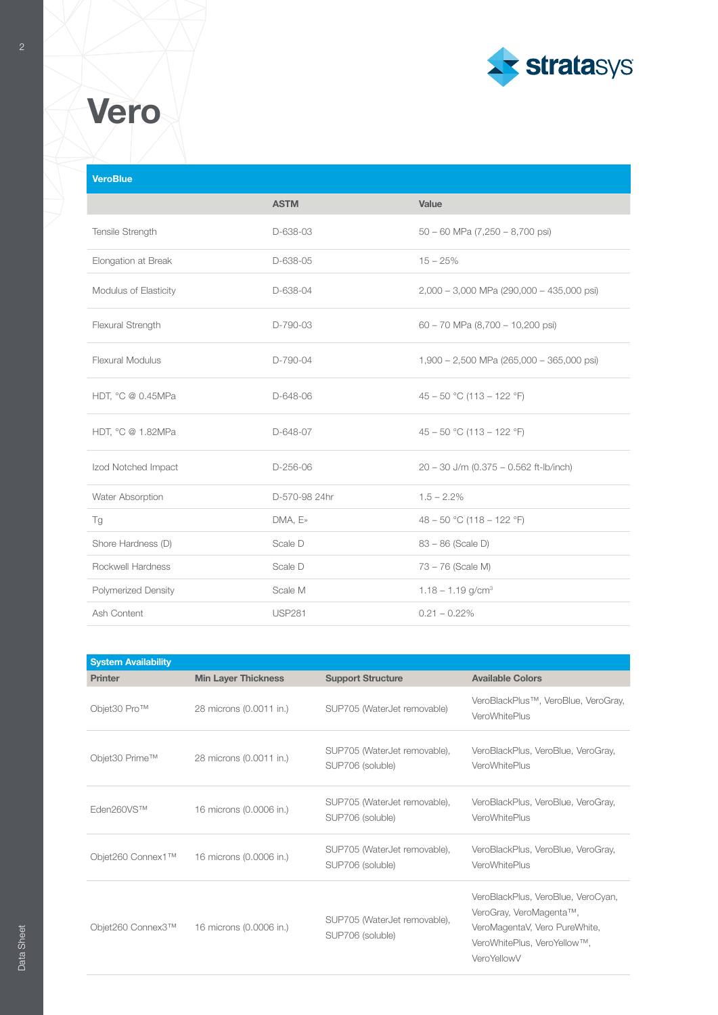

# **Vero**

## **VeroBlue**

|                            | <b>ASTM</b>   | Value                                       |
|----------------------------|---------------|---------------------------------------------|
| Tensile Strength           | D-638-03      | $50 - 60$ MPa $(7,250 - 8,700$ psi)         |
| Elongation at Break        | D-638-05      | $15 - 25%$                                  |
| Modulus of Elasticity      | D-638-04      | $2,000 - 3,000$ MPa (290,000 - 435,000 psi) |
| Flexural Strength          | D-790-03      | $60 - 70$ MPa $(8,700 - 10,200$ psi)        |
| <b>Flexural Modulus</b>    | D-790-04      | $1,900 - 2,500$ MPa (265,000 - 365,000 psi) |
| HDT, °C @ 0.45MPa          | D-648-06      | $45 - 50$ °C (113 - 122 °F)                 |
| HDT, °C @ 1.82MPa          | D-648-07      | $45 - 50$ °C (113 - 122 °F)                 |
| Izod Notched Impact        | $D-256-06$    | 20 - 30 J/m (0.375 - 0.562 ft-lb/inch)      |
| Water Absorption           | D-570-98 24hr | $1.5 - 2.2\%$                               |
| Tg                         | DMA, E»       | 48 – 50 °C (118 – 122 °F)                   |
| Shore Hardness (D)         | Scale D       | $83 - 86$ (Scale D)                         |
| Rockwell Hardness          | Scale D       | 73 - 76 (Scale M)                           |
| <b>Polymerized Density</b> | Scale M       | $1.18 - 1.19$ g/cm <sup>3</sup>             |
| Ash Content                | <b>USP281</b> | $0.21 - 0.22\%$                             |

| <b>System Availability</b> |                            |                                                  |                                                                                                                                              |  |  |  |
|----------------------------|----------------------------|--------------------------------------------------|----------------------------------------------------------------------------------------------------------------------------------------------|--|--|--|
| <b>Printer</b>             | <b>Min Layer Thickness</b> | <b>Support Structure</b>                         | <b>Available Colors</b>                                                                                                                      |  |  |  |
| Objet30 Pro™               | 28 microns (0.0011 in.)    | SUP705 (WaterJet removable)                      | VeroBlackPlus™, VeroBlue, VeroGray,<br>VeroWhitePlus                                                                                         |  |  |  |
| Objet30 Prime™             | 28 microns (0.0011 in.)    | SUP705 (WaterJet removable),<br>SUP706 (soluble) | VeroBlackPlus, VeroBlue, VeroGray,<br>VeroWhitePlus                                                                                          |  |  |  |
| Eden260VS™                 | 16 microns (0.0006 in.)    | SUP705 (WaterJet removable),<br>SUP706 (soluble) | VeroBlackPlus, VeroBlue, VeroGray,<br>VeroWhitePlus                                                                                          |  |  |  |
| Objet260 Connex1™          | 16 microns (0.0006 in.)    | SUP705 (WaterJet removable),<br>SUP706 (soluble) | VeroBlackPlus, VeroBlue, VeroGrav,<br>VeroWhitePlus                                                                                          |  |  |  |
| Objet260 Connex3™          | 16 microns (0.0006 in.)    | SUP705 (WaterJet removable),<br>SUP706 (soluble) | VeroBlackPlus, VeroBlue, VeroCyan,<br>VeroGray, VeroMagenta™,<br>VeroMagentaV, Vero PureWhite,<br>VeroWhitePlus, VeroYellow™,<br>VeroYellowV |  |  |  |